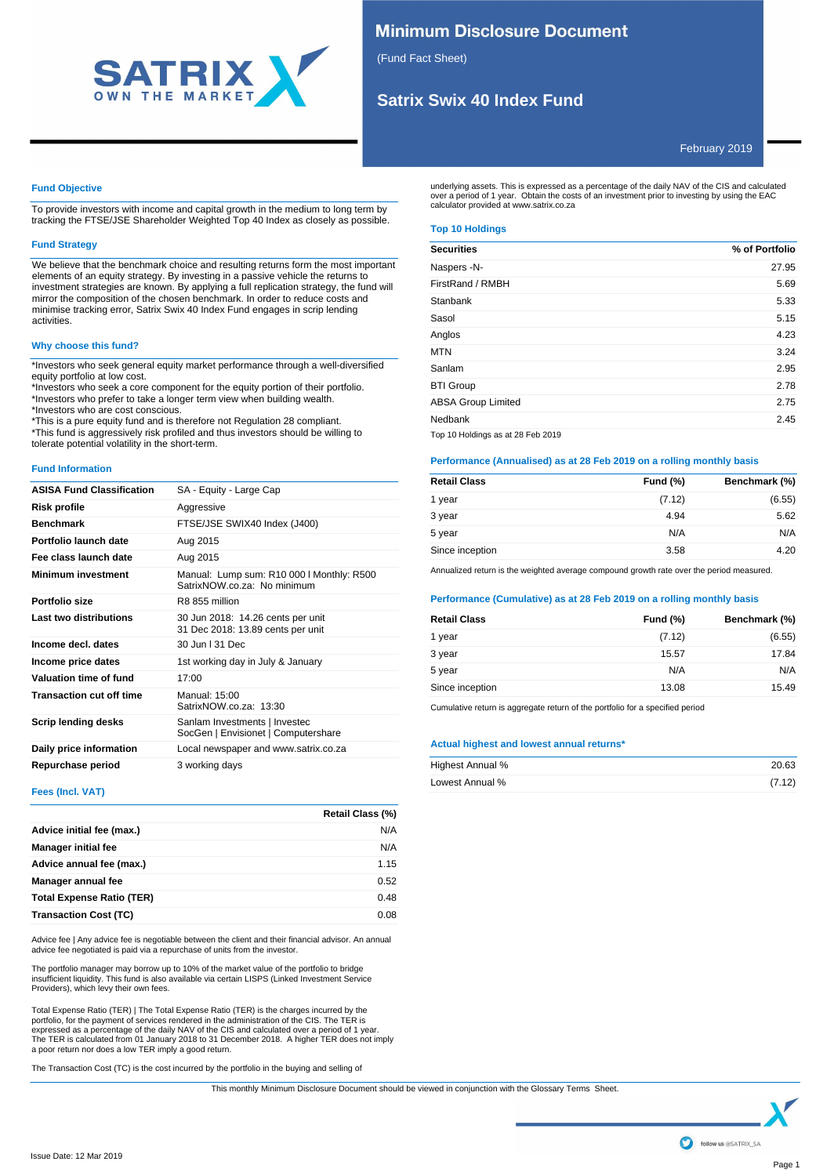

# **Minimum Disclosure Document**

calculator provided at www.satrix.co.za

Top 10 Holdings as at 28 Feb 2019

**Top 10 Holdings**

(Fund Fact Sheet)

# **Satrix Swix 40 Index Fund**

February 2019

underlying assets. This is expressed as a percentage of the daily NAV of the CIS and calculated over a period of 1 year. Obtain the costs of an investment prior to investing by using the EAC

**Securities % of Portfolio** Naspers -N- 27.95 FirstRand / RMBH 5.69 Stanbank 5.33 Sasol 5.15 Anglos 4.23 MTN  $3.24$ Sanlam 2.95 BTI Group 2.78 ABSA Group Limited 2.75 Nedbank 2.45

**Performance (Annualised) as at 28 Feb 2019 on a rolling monthly basis Retail Class Fund (%) Benchmark (%)** 1 year (7.12) (6.55) 3 year 4.94 5.62 5 year N/A N/A Since inception 3.58 4.20 Annualized return is the weighted average compound growth rate over the period measured.

**Performance (Cumulative) as at 28 Feb 2019 on a rolling monthly basis Retail Class Fund (%) Benchmark (%)** 1 year (7.12) (6.55) 3 year 15.57 17.84 5 year N/A N/A Since inception 13.08 15.49

Highest Annual % 20.63 Lowest Annual % (7.12)

Cumulative return is aggregate return of the portfolio for a specified period

**Actual highest and lowest annual returns\***

# **Fund Objective**

To provide investors with income and capital growth in the medium to long term by tracking the FTSE/JSE Shareholder Weighted Top 40 Index as closely as possible.

#### **Fund Strategy**

We believe that the benchmark choice and resulting returns form the most important elements of an equity strategy. By investing in a passive vehicle the returns to investment strategies are known. By applying a full replication strategy, the fund will mirror the composition of the chosen benchmark. In order to reduce costs and minimise tracking error, Satrix Swix 40 Index Fund engages in scrip lending activities.

### **Why choose this fund?**

\*Investors who seek general equity market performance through a well-diversified equity portfolio at low cost.

\*Investors who seek a core component for the equity portion of their portfolio. \*Investors who prefer to take a longer term view when building wealth. \*Investors who are cost conscious.

\*This is a pure equity fund and is therefore not Regulation 28 compliant. \*This fund is aggressively risk profiled and thus investors should be willing to tolerate potential volatility in the short-term.

#### **Fund Information**

| <b>ASISA Fund Classification</b> | SA - Equity - Large Cap                                                  |
|----------------------------------|--------------------------------------------------------------------------|
| <b>Risk profile</b>              | Aggressive                                                               |
| <b>Benchmark</b>                 | FTSE/JSE SWIX40 Index (J400)                                             |
| Portfolio launch date            | Aug 2015                                                                 |
| Fee class launch date            | Aug 2015                                                                 |
| <b>Minimum investment</b>        | Manual: Lump sum: R10 000   Monthly: R500<br>SatrixNOW.co.za: No minimum |
| Portfolio size                   | R8 855 million                                                           |
| Last two distributions           | 30 Jun 2018: 14.26 cents per unit<br>31 Dec 2018: 13.89 cents per unit   |
| Income decl. dates               | 30 Jun L31 Dec                                                           |
| Income price dates               | 1st working day in July & January                                        |
| Valuation time of fund           | 17:00                                                                    |
| <b>Transaction cut off time</b>  | Manual: 15:00<br>SatrixNOW.co.za: 13:30                                  |
| <b>Scrip lending desks</b>       | Sanlam Investments   Investec<br>SocGen   Envisionet   Computershare     |
| Daily price information          | Local newspaper and www.satrix.co.za                                     |
| Repurchase period                | 3 working days                                                           |

#### **Fees (Incl. VAT)**

|                                  | Retail Class (%) |
|----------------------------------|------------------|
| Advice initial fee (max.)        | N/A              |
| <b>Manager initial fee</b>       | N/A              |
| Advice annual fee (max.)         | 1.15             |
| Manager annual fee               | 0.52             |
| <b>Total Expense Ratio (TER)</b> | 0.48             |
| <b>Transaction Cost (TC)</b>     | 0.08             |

Advice fee | Any advice fee is negotiable between the client and their financial advisor. An annual advice fee negotiated is paid via a repurchase of units from the investor.

The portfolio manager may borrow up to 10% of the market value of the portfolio to bridge insufficient liquidity. This fund is also available via certain LISPS (Linked Investment Service Providers), which levy their own fees.

Total Expense Ratio (TER) | The Total Expense Ratio (TER) is the charges incurred by the portfolio, for the payment of services rendered in the administration of the CIS. The TER is expressed as a percentage of the daily NAV of the CIS and calculated over a period of 1 year. The TER is calculated from 01 January 2018 to 31 December 2018. A higher TER does not imply a poor return nor does a low TER imply a good return.

The Transaction Cost (TC) is the cost incurred by the portfolio in the buying and selling of  $u$ 

This monthly Minimum Disclosure Document should be viewed in conjunction with the Glossary Terms Sheet.

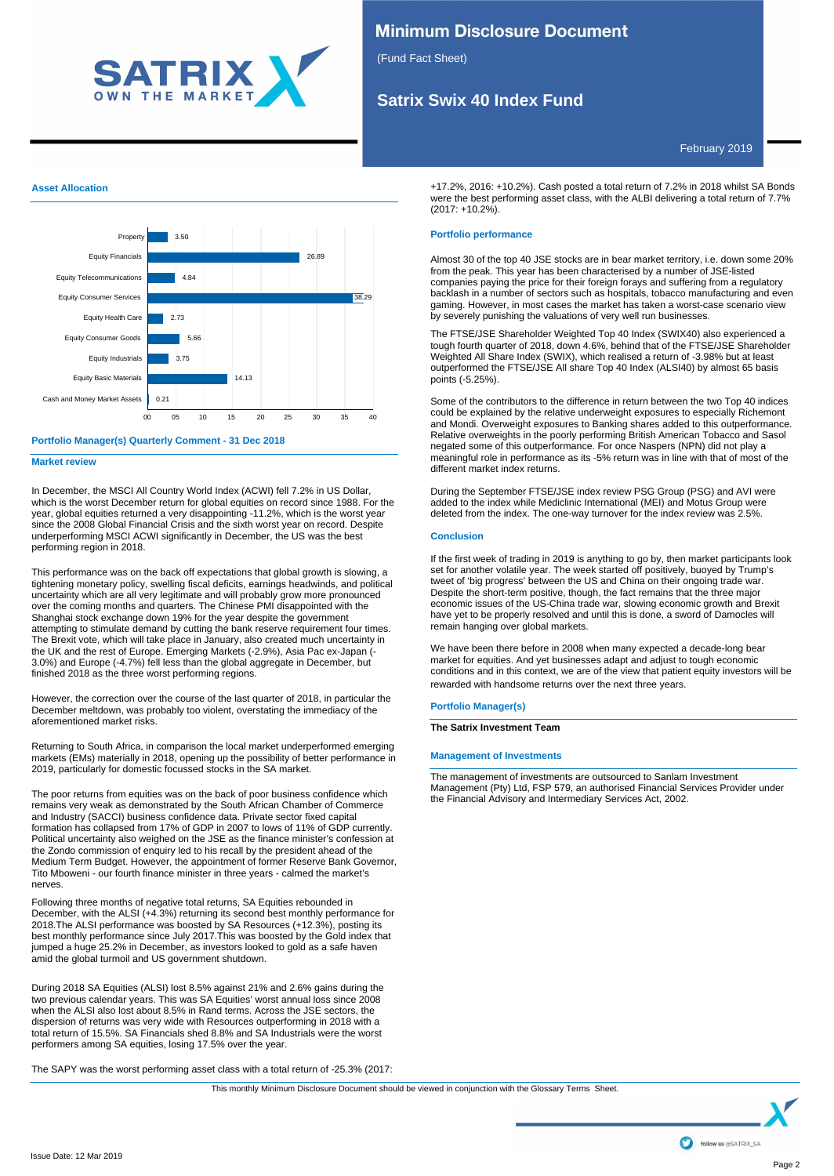

# **Minimum Disclosure Document**

(Fund Fact Sheet)

# **Satrix Swix 40 Index Fund**

February 2019

+17.2%, 2016: +10.2%). Cash posted a total return of 7.2% in 2018 whilst SA Bonds were the best performing asset class, with the ALBI delivering a total return of 7.7% (2017: +10.2%).

### **Portfolio performance**

Almost 30 of the top 40 JSE stocks are in bear market territory, i.e. down some 20% from the peak. This year has been characterised by a number of JSE-listed companies paying the price for their foreign forays and suffering from a regulatory backlash in a number of sectors such as hospitals, tobacco manufacturing and even gaming. However, in most cases the market has taken a worst-case scenario view by severely punishing the valuations of very well run businesses.

The FTSE/JSE Shareholder Weighted Top 40 Index (SWIX40) also experienced a tough fourth quarter of 2018, down 4.6%, behind that of the FTSE/JSE Shareholder Weighted All Share Index (SWIX), which realised a return of -3.98% but at least outperformed the FTSE/JSE All share Top 40 Index (ALSI40) by almost 65 basis points (-5.25%).

Some of the contributors to the difference in return between the two Top 40 indices could be explained by the relative underweight exposures to especially Richemont and Mondi. Overweight exposures to Banking shares added to this outperformance. Relative overweights in the poorly performing British American Tobacco and Sasol negated some of this outperformance. For once Naspers (NPN) did not play a meaningful role in performance as its -5% return was in line with that of most of the different market index returns.

During the September FTSE/JSE index review PSG Group (PSG) and AVI were added to the index while Mediclinic International (MEI) and Motus Group were deleted from the index. The one-way turnover for the index review was 2.5%.

### **Conclusion**

If the first week of trading in 2019 is anything to go by, then market participants look set for another volatile year. The week started off positively, buoyed by Trump's tweet of 'big progress' between the US and China on their ongoing trade war. Despite the short-term positive, though, the fact remains that the three major economic issues of the US-China trade war, slowing economic growth and Brexit have yet to be properly resolved and until this is done, a sword of Damocles will remain hanging over global markets.

We have been there before in 2008 when many expected a decade-long bear market for equities. And yet businesses adapt and adjust to tough economic conditions and in this context, we are of the view that patient equity investors will be rewarded with handsome returns over the next three years.

#### **Portfolio Manager(s)**

**The Satrix Investment Team**

## **Management of Investments**

The management of investments are outsourced to Sanlam Investment Management (Pty) Ltd, FSP 579, an authorised Financial Services Provider under the Financial Advisory and Intermediary Services Act, 2002.





#### **Portfolio Manager(s) Quarterly Comment - 31 Dec 2018**

**Market review**

In December, the MSCI All Country World Index (ACWI) fell 7.2% in US Dollar, which is the worst December return for global equities on record since 1988. For the year, global equities returned a very disappointing -11.2%, which is the worst year since the 2008 Global Financial Crisis and the sixth worst year on record. Despite underperforming MSCI ACWI significantly in December, the US was the best performing region in 2018.

This performance was on the back off expectations that global growth is slowing, a tightening monetary policy, swelling fiscal deficits, earnings headwinds, and political uncertainty which are all very legitimate and will probably grow more pronounced over the coming months and quarters. The Chinese PMI disappointed with the Shanghai stock exchange down 19% for the year despite the government attempting to stimulate demand by cutting the bank reserve requirement four times. The Brexit vote, which will take place in January, also created much uncertainty in the UK and the rest of Europe. Emerging Markets (-2.9%), Asia Pac ex-Japan (- 3.0%) and Europe (-4.7%) fell less than the global aggregate in December, but finished 2018 as the three worst performing regions.

However, the correction over the course of the last quarter of 2018, in particular the December meltdown, was probably too violent, overstating the immediacy of the aforementioned market risks.

Returning to South Africa, in comparison the local market underperformed emerging markets (EMs) materially in 2018, opening up the possibility of better performance in 2019, particularly for domestic focussed stocks in the SA market.

The poor returns from equities was on the back of poor business confidence which remains very weak as demonstrated by the South African Chamber of Commerce and Industry (SACCI) business confidence data. Private sector fixed capital formation has collapsed from 17% of GDP in 2007 to lows of 11% of GDP currently. Political uncertainty also weighed on the JSE as the finance minister's confession at the Zondo commission of enquiry led to his recall by the president ahead of the Medium Term Budget. However, the appointment of former Reserve Bank Governor, Tito Mboweni - our fourth finance minister in three years - calmed the market's nerves.

Following three months of negative total returns, SA Equities rebounded in December, with the ALSI (+4.3%) returning its second best monthly performance for 2018.The ALSI performance was boosted by SA Resources (+12.3%), posting its best monthly performance since July 2017.This was boosted by the Gold index that jumped a huge 25.2% in December, as investors looked to gold as a safe haven amid the global turmoil and US government shutdown.

During 2018 SA Equities (ALSI) lost 8.5% against 21% and 2.6% gains during the two previous calendar years. This was SA Equities' worst annual loss since 2008 when the ALSI also lost about 8.5% in Rand terms. Across the JSE sectors, the dispersion of returns was very wide with Resources outperforming in 2018 with a total return of 15.5%. SA Financials shed 8.8% and SA Industrials were the worst performers among SA equities, losing 17.5% over the year.

The SAPY was the worst performing asset class with a total return of -25.3% (2017:

17.2%, 2016.<br>This monthly Minimum Disclosure Document should be viewed in conjunction with the Glossary Terms Sheet.